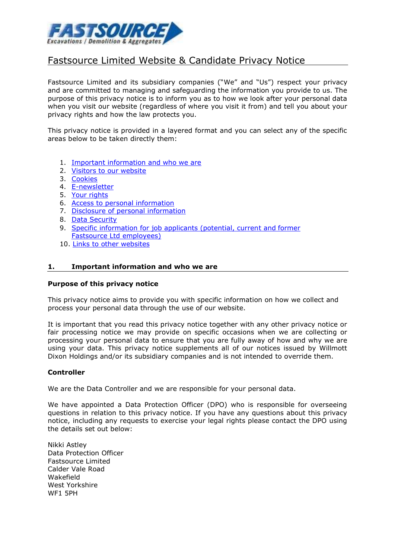

# Fastsource Limited Website & Candidate Privacy Notice

Fastsource Limited and its subsidiary companies ("We" and "Us") respect your privacy and are committed to managing and safeguarding the information you provide to us. The purpose of this privacy notice is to inform you as to how we look after your personal data when you visit our website (regardless of where you visit it from) and tell you about your privacy rights and how the law protects you.

This privacy notice is provided in a layered format and you can select any of the specific areas below to be taken directly them:

- 1. [Important information and who we](#page-0-0) are
- 2. [Visitors to our](#page-1-0) website
- 3. [Cookies](#page-1-1)
- 4. [E-newsletter](#page-1-2)
- 5. Your [rights](#page-1-3)
- 6. [Access to personal](#page-2-0) information
- 7. [Disclosure of personal](#page-2-1) information
- 8. Data [Security](#page-3-0)
- 9. [Specific information for job applicants \(potential, current and](#page-3-1) former [Fastsource Ltd e](#page-3-1)mployees)
- 10. [Links to other](#page-6-0) websites

#### <span id="page-0-0"></span>**1. Important information and who we are**

#### **Purpose of this privacy notice**

This privacy notice aims to provide you with specific information on how we collect and process your personal data through the use of our website.

It is important that you read this privacy notice together with any other privacy notice or fair processing notice we may provide on specific occasions when we are collecting or processing your personal data to ensure that you are fully away of how and why we are using your data. This privacy notice supplements all of our notices issued by Willmott Dixon Holdings and/or its subsidiary companies and is not intended to override them.

#### **Controller**

We are the Data Controller and we are responsible for your personal data.

We have appointed a Data Protection Officer (DPO) who is responsible for overseeing questions in relation to this privacy notice. If you have any questions about this privacy notice, including any requests to exercise your legal rights please contact the DPO using the details set out below:

Nikki Astley Data Protection Officer Fastsource Limited Calder Vale Road Wakefield West Yorkshire WF1 5PH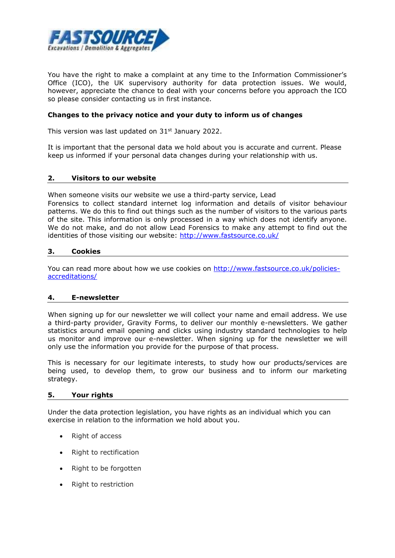

You have the right to make a complaint at any time to the Information Commissioner's Office (ICO), the UK supervisory authority for data protection issues. We would, however, appreciate the chance to deal with your concerns before you approach the ICO so please consider contacting us in first instance.

## **Changes to the privacy notice and your duty to inform us of changes**

This version was last updated on 31<sup>st</sup> January 2022.

It is important that the personal data we hold about you is accurate and current. Please keep us informed if your personal data changes during your relationship with us.

## <span id="page-1-0"></span>**2. Visitors to our website**

When someone [visits our website we](http://www.willmottdixon.co.uk/) use a third-party service, Lead Forensics to collect standard internet log information and details of visitor behaviour patterns. We do this to find out things such as the number of visitors to the various parts of the site. This information is only processed in a way which does not identify anyone. We do not make, and do not allow Lead Forensics to make any attempt to find out the identities of those visiting our website:<http://www.fastsource.co.uk/>

#### <span id="page-1-1"></span>**3. Cookies**

You can read more about how we use cookies on [http://www.fastsource.co.uk/policies](http://www.fastsource.co.uk/policies-accreditations/)[accreditations/](http://www.fastsource.co.uk/policies-accreditations/)

#### <span id="page-1-2"></span>**4. E-newsletter**

When signing up for our newsletter we will collect your name and email address. We use a third-party provider, Gravity Forms, to deliver our monthly e-newsletters. We gather statistics around email opening and clicks using industry standard technologies to help us monitor and improve our e-newsletter. When signing up for the newsletter we will only use the information you provide for the purpose of that process.

This is necessary for our legitimate interests, to study how our products/services are being used, to develop them, to grow our business and to inform our marketing strategy.

#### <span id="page-1-3"></span>**5. Your rights**

Under the data protection legislation, you have rights as an individual which you can exercise in relation to the information we hold about you.

- Right of access
- Right to rectification
- Right to be forgotten
- Right to restriction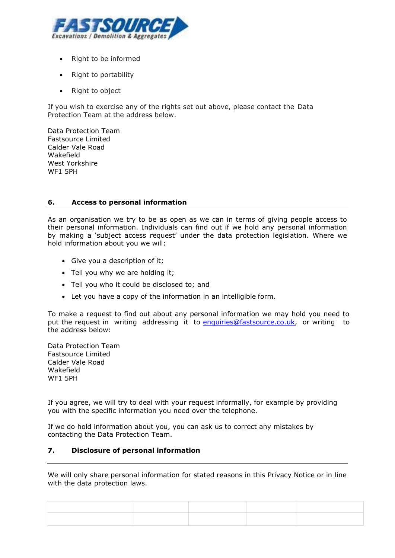

- Right to be informed
- Right to portability
- Right to object

If you wish to exercise any of the rights set out above, please contact the Data Protection Team at the address below.

Data Protection Team Fastsource Limited Calder Vale Road Wakefield West Yorkshire WF1 5PH

# <span id="page-2-0"></span>**6. Access to personal information**

As an organisation we try to be as open as we can in terms of giving people access to their personal information. Individuals can find out if we hold any personal information by making a 'subject access request' under the data protection legislation. Where we hold information about you we will:

- Give you a description of it;
- Tell you why we are holding it;
- Tell you who it could be disclosed to; and
- Let you have a copy of the information in an intelligible form.

To make a request to find out about any personal information we may hold you need to put the request in writing addressing it [to enquiries@fastsource.co.uk,](mailto:enquiries@fastsource.co.uk) or writing to the address below:

Data Protection Team Fastsource Limited Calder Vale Road Wakefield WF1 5PH

If you agree, we will try to deal with your request informally, for example by providing you with the specific information you need over the telephone.

If we do hold information about you, you can ask us to correct any mistakes by contacting the Data Protection Team.

## **7. Disclosure of personal information**

<span id="page-2-1"></span>We will only share personal information for stated reasons in this Privacy Notice or in line with the data protection laws.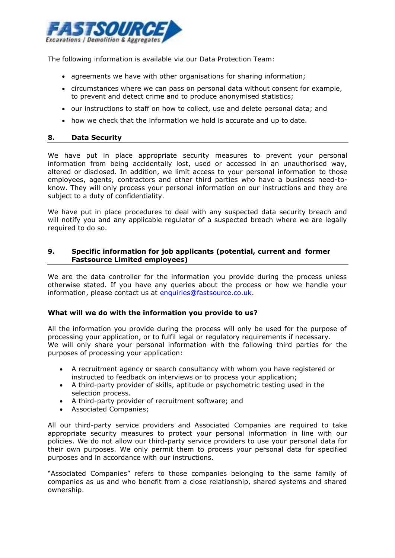

The following information is available via our Data Protection Team:

- agreements we have with other organisations for sharing information;
- circumstances where we can pass on personal data without consent for example, to prevent and detect crime and to produce anonymised statistics;
- our instructions to staff on how to collect, use and delete personal data; and
- how we check that the information we hold is accurate and up to date.

## <span id="page-3-0"></span>**8. Data Security**

We have put in place appropriate security measures to prevent your personal information from being accidentally lost, used or accessed in an unauthorised way, altered or disclosed. In addition, we limit access to your personal information to those employees, agents, contractors and other third parties who have a business need-toknow. They will only process your personal information on our instructions and they are subject to a duty of confidentiality.

We have put in place procedures to deal with any suspected data security breach and will notify you and any applicable regulator of a suspected breach where we are legally required to do so.

# <span id="page-3-1"></span>**9. Specific information for job applicants (potential, current and former Fastsource Limited employees)**

We are the data controller for the information you provide during the process unless otherwise stated. If you have any queries about the process or how we handle your information, please contact us at [enquiries@fastsource.co.uk.](mailto:enquiries@fastsource.co.uk)

## **What will we do with the information you provide to us?**

All the information you provide during the process will only be used for the purpose of processing your application, or to fulfil legal or regulatory requirements if necessary. We will only share your personal information with the following third parties for the purposes of processing your application:

- A recruitment agency or search consultancy with whom you have registered or instructed to feedback on interviews or to process your application;
- A third-party provider of skills, aptitude or psychometric testing used in the selection process.
- A third-party provider of recruitment software; and
- Associated Companies;

All our third-party service providers and Associated Companies are required to take appropriate security measures to protect your personal information in line with our policies. We do not allow our third-party service providers to use your personal data for their own purposes. We only permit them to process your personal data for specified purposes and in accordance with our instructions.

"Associated Companies" refers to those companies belonging to the same family of companies as us and who benefit from a close relationship, shared systems and shared ownership.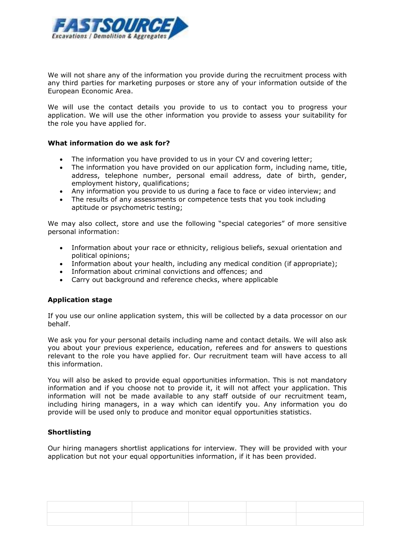

We will not share any of the information you provide during the recruitment process with any third parties for marketing purposes or store any of your information outside of the European Economic Area.

We will use the contact details you provide to us to contact you to progress your application. We will use the other information you provide to assess your suitability for the role you have applied for.

#### **What information do we ask for?**

- The information you have provided to us in your CV and covering letter;
- The information you have provided on our application form, including name, title, address, telephone number, personal email address, date of birth, gender, employment history, qualifications;
- Any information you provide to us during a face to face or video interview; and
- The results of any assessments or competence tests that you took including aptitude or psychometric testing;

We may also collect, store and use the following "special categories" of more sensitive personal information:

- Information about your race or ethnicity, religious beliefs, sexual orientation and political opinions;
- Information about your health, including any medical condition (if appropriate);
- Information about criminal convictions and offences; and
- Carry out background and reference checks, where applicable

## **Application stage**

If you use our online application system, this will be collected by a data processor on our behalf.

We ask you for your personal details including name and contact details. We will also ask you about your previous experience, education, referees and for answers to questions relevant to the role you have applied for. Our recruitment team will have access to all this information.

You will also be asked to provide equal opportunities information. This is not mandatory information and if you choose not to provide it, it will not affect your application. This information will not be made available to any staff outside of our recruitment team, including hiring managers, in a way which can identify you. Any information you do provide will be used only to produce and monitor equal opportunities statistics.

## **Shortlisting**

Our hiring managers shortlist applications for interview. They will be provided with your application but not your equal opportunities information, if it has been provided.

| the control of the control of the control of the control of the control of the control of the control of the control of the control of the control of the control of the control of the control of the control of the control | the contract of the contract of the contract of the contract of the contract of the contract of the contract of                                                                                     |                                                                                                                 |  |
|-------------------------------------------------------------------------------------------------------------------------------------------------------------------------------------------------------------------------------|-----------------------------------------------------------------------------------------------------------------------------------------------------------------------------------------------------|-----------------------------------------------------------------------------------------------------------------|--|
|                                                                                                                                                                                                                               |                                                                                                                                                                                                     |                                                                                                                 |  |
|                                                                                                                                                                                                                               |                                                                                                                                                                                                     |                                                                                                                 |  |
| ,我们也不会有什么?""我们的人,我们也不会有什么?""我们的人,我们也不会有什么?""我们的人,我们也不会有什么?""我们的人,我们也不会有什么?""我们的人<br>,我们也不会有什么?""我们的人,我们也不会有什么?""我们的人,我们也不会有什么?""我们的人,我们也不会有什么?""我们的人,我们也不会有什么?""我们的人                                                          | ,我们也不会有什么?""我们的人,我们也不会有什么?""我们的人,我们也不会有什么?""我们的人,我们也不会有什么?""我们的人,我们也不会有什么?""我们的人<br>the contract of the contract of the contract of the contract of the contract of the contract of the contract of | the contract of the contract of the contract of the contract of the contract of the contract of the contract of |  |
|                                                                                                                                                                                                                               |                                                                                                                                                                                                     |                                                                                                                 |  |
|                                                                                                                                                                                                                               |                                                                                                                                                                                                     |                                                                                                                 |  |
|                                                                                                                                                                                                                               |                                                                                                                                                                                                     |                                                                                                                 |  |
|                                                                                                                                                                                                                               |                                                                                                                                                                                                     |                                                                                                                 |  |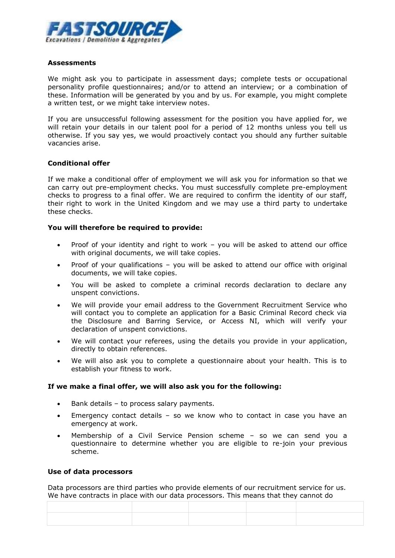

# **Assessments**

We might ask you to participate in assessment days; complete tests or occupational personality profile questionnaires; and/or to attend an interview; or a combination of these. Information will be generated by you and by us. For example, you might complete a written test, or we might take interview notes.

If you are unsuccessful following assessment for the position you have applied for, we will retain your details in our talent pool for a period of 12 months unless you tell us otherwise. If you say yes, we would proactively contact you should any further suitable vacancies arise.

# **Conditional offer**

If we make a conditional offer of employment we will ask you for information so that we can carry out pre-employment checks. You must successfully complete pre-employment checks to progress to a final offer. We are required to confirm the identity of our staff, their right to work in the United Kingdom and we may use a third party to undertake these checks.

# **You will therefore be required to provide:**

- Proof of your identity and right to work you will be asked to attend our office with original documents, we will take copies.
- Proof of your qualifications you will be asked to attend our office with original documents, we will take copies.
- You will be asked to complete a criminal records declaration to declare any unspent convictions.
- We will provide your email address to the Government Recruitment Service who will contact you to complete an application for a Basic Criminal Record check via the Disclosure and Barring Service, or Access NI, which will verify your declaration of unspent convictions.
- We will contact your referees, using the details you provide in your application, directly to obtain references.
- We will also ask you to complete a questionnaire about your health. This is to establish your fitness to work.

## **If we make a final offer, we will also ask you for the following:**

- Bank details to process salary payments.
- Emergency contact details so we know who to contact in case you have an emergency at work.
- Membership of a Civil Service Pension scheme so we can send you a questionnaire to determine whether you are eligible to re-join your previous scheme.

## **Use of data processors**

Data processors are third parties who provide elements of our recruitment service for us. We have contracts in place with our data processors. This means that they cannot do